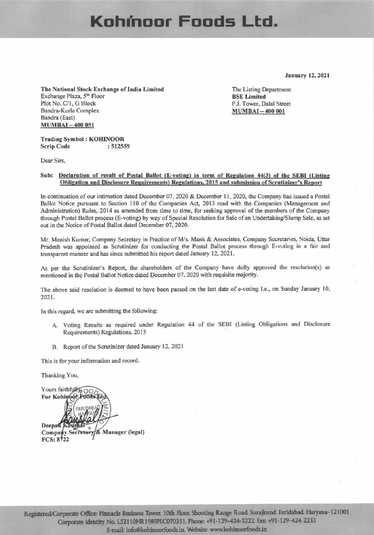## Kohmoor Foods Ltd.

**January 12, 2021** 

The National Stock Exchange of India Limited Exchange Plaza, 5<sup>th</sup> Floor Plot No. C/1, G Block Bandra-Kurla Complex Bandra (East) **MUMBAI-400 051** 

The Listing Department **BSE Limited** P.J. Tower, Dalal Street **MUMBAI-400 001** 

#### **Trading Symbol: KOHINOOR Scrip Code** : 512559

Dear Sirs.

### Sub: Declaration of result of Postal Ballot (E-voting) in term of Regulation 44(3) of the SEBI (Listing Obligation and Disclosure Requirements) Regulations, 2015 and submission of Scrutinizer's Report

In continuation of our intimation dated December 07, 2020 & December 11, 2020, the Company has issued a Postal Ballot Notice pursuant to Section 110 of the Companies Act, 2013 read with the Companies (Management and Administration) Rules, 2014 as amended from time to time, for seeking approval of the members of the Company through Postal Ballot process (E-voting) by way of Special Resolution for Sale of an Undertaking/Slump Sale, as set out in the Notice of Postal Ballot dated December 07, 2020.

Mr. Manish Kumar, Company Secretary in Practice of M/s. Mank & Associates, Company Secretaries, Noida, Uttar Pradesh was appointed as Scrutinizer for conducting the Postal Ballot process through E-voting in a fair and transparent manner and has since submitted his report dated January 12, 2021.

As per the Scrutinizer's Report, the shareholders of the Company have dully approved the resolution(s) as mentioned in the Postal Ballot Notice dated December 07, 2020 with requisite majority.

The above said resolution is deemed to have been passed on the last date of e-voting I.e., on Sunday January 10, 2021.

In this regard, we are submitting the following:

- A. Voting Results as required under Regulation 44 of the SEBI (Listing Obligations and Disclosure Requirements) Regulations, 2015
- B. Report of the Scrutinizer dated January 12, 2021

This is for your information and record.

Thanking You,

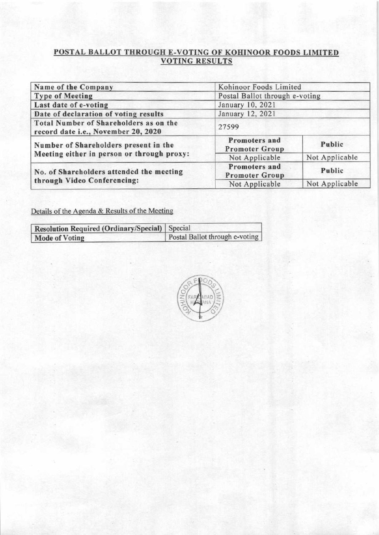# <u>POSTAL BALLOT THROUGH E-VOTING OF KOHINOOR FOODS LIMITED<br>VOTING RESULTS</u>

| Name of the Company                                                           | Kohinoor Foods Limited                 |                |  |
|-------------------------------------------------------------------------------|----------------------------------------|----------------|--|
| <b>Type of Meeting</b>                                                        | Postal Ballot through e-voting         |                |  |
| Last date of e-voting                                                         | January 10, 2021                       |                |  |
| Date of declaration of voting results                                         | January 12, 2021                       |                |  |
| Total Number of Shareholders as on the<br>record date i.e., November 20, 2020 | 27599                                  |                |  |
| Number of Shareholders present in the                                         | Promoters and<br><b>Promoter Group</b> | Public         |  |
| Meeting either in person or through proxy:                                    | Not Applicable                         | Not Applicable |  |
| No. of Shareholders attended the meeting                                      | Promoters and<br><b>Promoter Group</b> | Public         |  |
| through Video Conferencing:                                                   | Not Applicable                         | Not Applicable |  |

Details of the Agenda & Results of the Meeting

| <b>Resolution Required (Ordinary/Special)</b> Special |                                |  |  |
|-------------------------------------------------------|--------------------------------|--|--|
| <b>Mode of Voting</b>                                 | Postal Ballot through e-voting |  |  |

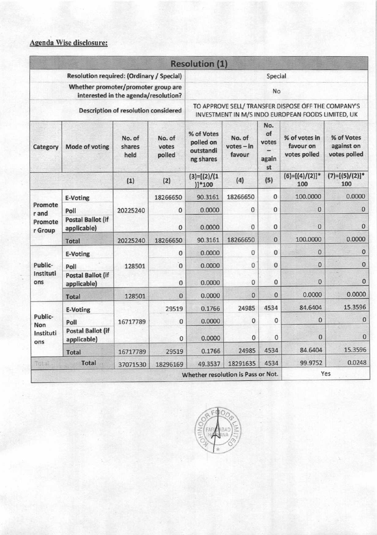### Agenda Wise disclosure:

|                                                                                                                            |                                         |          |                | <b>Resolution (1)</b>                                                                                                     |              |              |                          |                          |
|----------------------------------------------------------------------------------------------------------------------------|-----------------------------------------|----------|----------------|---------------------------------------------------------------------------------------------------------------------------|--------------|--------------|--------------------------|--------------------------|
| Resolution required: (Ordinary / Special)                                                                                  |                                         |          |                | Special<br>No<br>TO APPROVE SELL/ TRANSFER DISPOSE OFF THE COMPANY'S<br>INVESTMENT IN M/S INDO EUROPEAN FOODS LIMITED, UK |              |              |                          |                          |
| Whether promoter/promoter group are<br>interested in the agenda/resolution?<br><b>Description of resolution considered</b> |                                         |          |                |                                                                                                                           |              |              |                          |                          |
|                                                                                                                            |                                         |          | Category       |                                                                                                                           |              |              |                          |                          |
|                                                                                                                            |                                         | (1)      | (2)            | $(3)=[(2)/(1)$<br>$)]*100$                                                                                                | (4)          | (5)          | $(6)=[(4)/(2)]$ *<br>100 | $(7)=[(5)/(2)]$ *<br>100 |
|                                                                                                                            | <b>E-Voting</b>                         |          | 18266650       | 90.3161                                                                                                                   | 18266650     | 0            | 100.0000                 | 0.0000                   |
| Promote<br>r and                                                                                                           | Poll                                    | 20225240 | $\mathbf{0}$   | 0.0000                                                                                                                    | 0            | $\mathbf{0}$ | 0                        | $\bf{0}$                 |
| Promote<br>r Group                                                                                                         | <b>Postal Ballot (if</b><br>applicable) |          | $\mathbf{0}$   | 0.0000                                                                                                                    | $\mathbf{0}$ | $\mathbf{0}$ | $\bf{0}$                 | $\mathbf{0}$             |
|                                                                                                                            | <b>Total</b>                            | 20225240 | 18266650       | 90.3161                                                                                                                   | 18266650     | 0            | 100.0000                 | 0.0000                   |
|                                                                                                                            | <b>E-Voting</b>                         |          | 0              | 0.0000                                                                                                                    | 0            | 0            | $\Omega$                 | $\mathbf{0}$             |
| Public-                                                                                                                    | Poll                                    | 128501   | $\overline{0}$ | 0.0000                                                                                                                    | 0            | 0            | $\mathbf{0}$             | $\mathbf{0}$             |
| Instituti<br>ons                                                                                                           | <b>Postal Ballot (if</b><br>applicable) |          | 0              | 0.0000                                                                                                                    | $\mathbf{0}$ | 0            | $\bf{0}$                 | $\bf{0}$                 |
|                                                                                                                            | <b>Total</b>                            | 128501   | $\mathbf{0}$   | 0.0000                                                                                                                    | $\Omega$     | $\Omega$     | 0.0000                   | 0.0000                   |
|                                                                                                                            | <b>E-Voting</b>                         |          | 29519          | 0.1766                                                                                                                    | 24985        | 4534         | 84.6404                  | 15.3596                  |
| Public-<br><b>Non</b><br>Instituti<br>ons                                                                                  | Poll                                    | 16717789 | $\Omega$       | 0.0000                                                                                                                    | $\mathbf 0$  | $\mathbf{O}$ | $\bf{0}$                 | $\mathbf{0}$             |
|                                                                                                                            | <b>Postal Ballot (if</b><br>applicable) |          | $\mathbf{0}$   | 0.0000                                                                                                                    | $\Omega$     | $\mathbf{0}$ | $\bf{0}$                 | $\Omega$                 |
|                                                                                                                            | <b>Total</b>                            | 16717789 | 29519          | 0.1766                                                                                                                    | 24985        | 4534         | 84.6404                  | 15.3596                  |
| Total                                                                                                                      | <b>Total</b>                            | 37071530 | 18296169       | 49.3537                                                                                                                   | 18291635     | 4534         | 99.9752                  | 0.0248                   |
|                                                                                                                            |                                         |          |                | Whether resolution is Pass or Not.                                                                                        |              |              |                          | Yes                      |

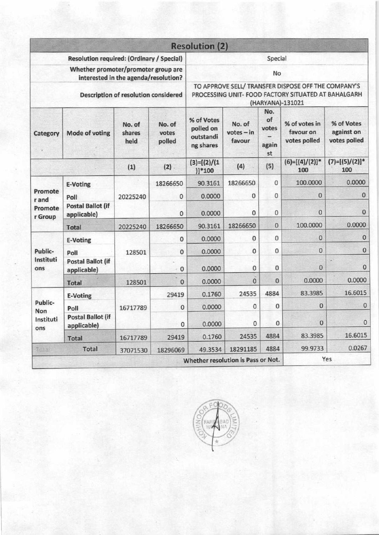|                                                                                                                     |                                         |          |                                                                                                                                      | <b>Resolution (2)</b>              |              |              |                          |                          |
|---------------------------------------------------------------------------------------------------------------------|-----------------------------------------|----------|--------------------------------------------------------------------------------------------------------------------------------------|------------------------------------|--------------|--------------|--------------------------|--------------------------|
| Resolution required: (Ordinary / Special)                                                                           |                                         |          | Special                                                                                                                              |                                    |              |              |                          |                          |
| Whether promoter/promoter group are<br>interested in the agenda/resolution?<br>Description of resolution considered |                                         |          | No<br>TO APPROVE SELL/ TRANSFER DISPOSE OFF THE COMPANY'S<br>PROCESSING UNIT- FOOD FACTORY SITUATED AT BAHALGARH<br>(HARYANA)-131021 |                                    |              |              |                          |                          |
|                                                                                                                     |                                         |          |                                                                                                                                      |                                    |              |              |                          | Category                 |
|                                                                                                                     |                                         | (1)      | (2)                                                                                                                                  | $(3)=[(2)/(1)$<br>$)]*100$         | (4)          | (5)          | $(6)=[(4)/(2)]$ *<br>100 | $(7)=[(5)/(2)]$ *<br>100 |
|                                                                                                                     | <b>E-Voting</b>                         |          | 18266650                                                                                                                             | 90.3161                            | 18266650     | $\mathbf 0$  | 100.0000                 | 0.0000                   |
| Promote<br>r and<br>Promote<br>r Group                                                                              | Poll                                    | 20225240 | 0                                                                                                                                    | 0.0000                             | $\bf{0}$     | $\pmb{0}$    | 0                        | $\bf{0}$                 |
|                                                                                                                     | <b>Postal Ballot (if</b><br>applicable) |          | $\mathbf{0}$                                                                                                                         | 0.0000                             | $\mathbf{0}$ | $\bf{0}$     | $\mathbf{0}$             | $\mathbf{0}$             |
|                                                                                                                     | <b>Total</b>                            | 20225240 | 18266650                                                                                                                             | 90.3161                            | 18266650     | $\bf{0}$     | 100.0000                 | 0.0000                   |
|                                                                                                                     | <b>E-Voting</b>                         |          | 0                                                                                                                                    | 0.0000                             | 0            | 0            | 0                        | $\mathbf{0}$             |
| Public-                                                                                                             | Poll                                    | 128501   | 0                                                                                                                                    | 0.0000                             | 0            | $\mathbf{0}$ | $\bf{0}$                 | $\bf{0}$                 |
| Instituti<br>ons                                                                                                    | <b>Postal Ballot (if</b><br>applicable) |          | $\mathbf{0}$                                                                                                                         | 0.0000                             | $\mathbf{0}$ | 0            | 0                        | $\Omega$                 |
|                                                                                                                     | <b>Total</b>                            | 128501   | 0                                                                                                                                    | 0.0000                             | $\bf{0}$     | 0            | 0.0000                   | 0.0000                   |
| Public-<br>Non<br>Instituti<br>ons                                                                                  | <b>E-Voting</b>                         |          | 29419                                                                                                                                | 0.1760                             | 24535        | 4884         | 83.3985                  | 16.6015                  |
|                                                                                                                     | Poll                                    | 16717789 | $\mathbf 0$                                                                                                                          | 0.0000                             | 0            | $\circ$      | $\pmb{0}$                | $\mathbf{0}$             |
|                                                                                                                     | <b>Postal Ballot (if</b><br>applicable) |          | 0                                                                                                                                    | 0.0000                             | $\mathbf 0$  | $\bf{0}$     | $\mathbf{0}$             | $\bf{0}$                 |
|                                                                                                                     | <b>Total</b>                            | 16717789 | 29419                                                                                                                                | 0.1760                             | 24535        | 4884         | 83.3985                  | 16.6015                  |
| $T = 3$                                                                                                             | <b>Total</b>                            | 37071530 | 18296069                                                                                                                             | 49.3534                            | 18291185     | 4884         | 99.9733                  | 0.0267                   |
|                                                                                                                     |                                         |          |                                                                                                                                      | Whether resolution is Pass or Not. |              |              |                          | Yes                      |